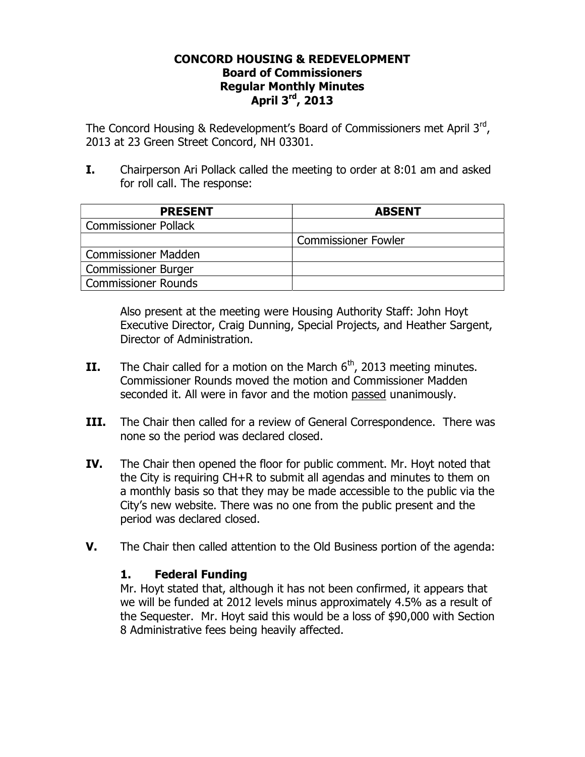### **CONCORD HOUSING & REDEVELOPMENT Board of Commissioners Regular Monthly Minutes April 3rd, 2013**

The Concord Housing & Redevelopment's Board of Commissioners met April 3rd, 2013 at 23 Green Street Concord, NH 03301.

**I.** Chairperson Ari Pollack called the meeting to order at 8:01 am and asked for roll call. The response:

| <b>PRESENT</b>              | <b>ABSENT</b>              |
|-----------------------------|----------------------------|
| <b>Commissioner Pollack</b> |                            |
|                             | <b>Commissioner Fowler</b> |
| <b>Commissioner Madden</b>  |                            |
| <b>Commissioner Burger</b>  |                            |
| <b>Commissioner Rounds</b>  |                            |

Also present at the meeting were Housing Authority Staff: John Hoyt Executive Director, Craig Dunning, Special Projects, and Heather Sargent, Director of Administration.

- **II.** The Chair called for a motion on the March  $6<sup>th</sup>$ , 2013 meeting minutes. Commissioner Rounds moved the motion and Commissioner Madden seconded it. All were in favor and the motion passed unanimously.
- **III.** The Chair then called for a review of General Correspondence. There was none so the period was declared closed.
- **IV.** The Chair then opened the floor for public comment. Mr. Hoyt noted that the City is requiring CH+R to submit all agendas and minutes to them on a monthly basis so that they may be made accessible to the public via the City's new website. There was no one from the public present and the period was declared closed.
- **V.** The Chair then called attention to the Old Business portion of the agenda:

### **1. Federal Funding**

Mr. Hoyt stated that, although it has not been confirmed, it appears that we will be funded at 2012 levels minus approximately 4.5% as a result of the Sequester. Mr. Hoyt said this would be a loss of \$90,000 with Section 8 Administrative fees being heavily affected.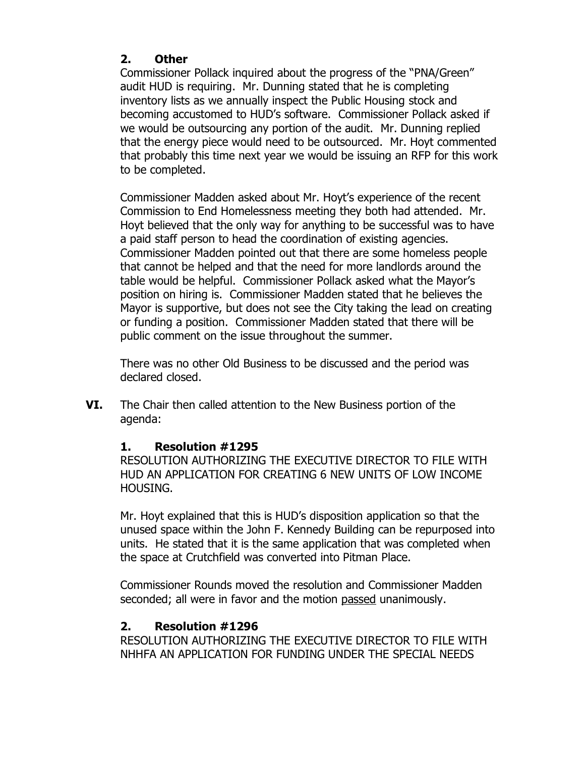## **2. Other**

Commissioner Pollack inquired about the progress of the "PNA/Green" audit HUD is requiring. Mr. Dunning stated that he is completing inventory lists as we annually inspect the Public Housing stock and becoming accustomed to HUD's software. Commissioner Pollack asked if we would be outsourcing any portion of the audit. Mr. Dunning replied that the energy piece would need to be outsourced. Mr. Hoyt commented that probably this time next year we would be issuing an RFP for this work to be completed.

Commissioner Madden asked about Mr. Hoyt's experience of the recent Commission to End Homelessness meeting they both had attended. Mr. Hoyt believed that the only way for anything to be successful was to have a paid staff person to head the coordination of existing agencies. Commissioner Madden pointed out that there are some homeless people that cannot be helped and that the need for more landlords around the table would be helpful. Commissioner Pollack asked what the Mayor's position on hiring is. Commissioner Madden stated that he believes the Mayor is supportive, but does not see the City taking the lead on creating or funding a position. Commissioner Madden stated that there will be public comment on the issue throughout the summer.

There was no other Old Business to be discussed and the period was declared closed.

**VI.** The Chair then called attention to the New Business portion of the agenda:

## **1. Resolution #1295**

RESOLUTION AUTHORIZING THE EXECUTIVE DIRECTOR TO FILE WITH HUD AN APPLICATION FOR CREATING 6 NEW UNITS OF LOW INCOME HOUSING.

Mr. Hoyt explained that this is HUD's disposition application so that the unused space within the John F. Kennedy Building can be repurposed into units. He stated that it is the same application that was completed when the space at Crutchfield was converted into Pitman Place.

Commissioner Rounds moved the resolution and Commissioner Madden seconded; all were in favor and the motion passed unanimously.

# **2. Resolution #1296**

RESOLUTION AUTHORIZING THE EXECUTIVE DIRECTOR TO FILE WITH NHHFA AN APPLICATION FOR FUNDING UNDER THE SPECIAL NEEDS